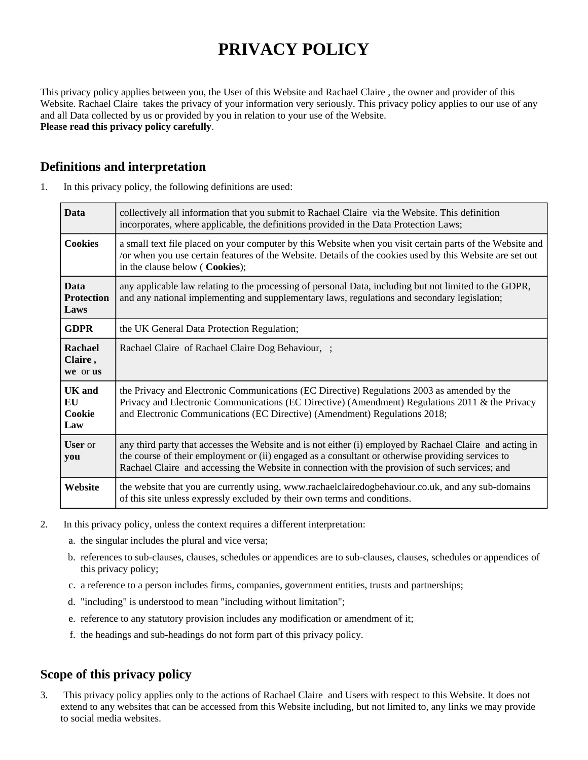# **PRIVACY POLICY**

This privacy policy applies between you, the User of this Website and Rachael Claire , the owner and provider of this Website. Rachael Claire takes the privacy of your information very seriously. This privacy policy applies to our use of any and all Data collected by us or provided by you in relation to your use of the Website. **Please read this privacy policy carefully**.

## **Definitions and interpretation**

| <b>Data</b>                              | collectively all information that you submit to Rachael Claire via the Website. This definition<br>incorporates, where applicable, the definitions provided in the Data Protection Laws;                                                                                                                         |  |
|------------------------------------------|------------------------------------------------------------------------------------------------------------------------------------------------------------------------------------------------------------------------------------------------------------------------------------------------------------------|--|
| <b>Cookies</b>                           | a small text file placed on your computer by this Website when you visit certain parts of the Website and<br>/or when you use certain features of the Website. Details of the cookies used by this Website are set out<br>in the clause below (Cookies);                                                         |  |
| <b>Data</b><br><b>Protection</b><br>Laws | any applicable law relating to the processing of personal Data, including but not limited to the GDPR,<br>and any national implementing and supplementary laws, regulations and secondary legislation;                                                                                                           |  |
| <b>GDPR</b>                              | the UK General Data Protection Regulation;                                                                                                                                                                                                                                                                       |  |
| Rachael<br>Claire,<br>we or us           | Rachael Claire of Rachael Claire Dog Behaviour, ;                                                                                                                                                                                                                                                                |  |
| <b>UK</b> and<br>EU<br>Cookie<br>Law     | the Privacy and Electronic Communications (EC Directive) Regulations 2003 as amended by the<br>Privacy and Electronic Communications (EC Directive) (Amendment) Regulations 2011 & the Privacy<br>and Electronic Communications (EC Directive) (Amendment) Regulations 2018;                                     |  |
| User or<br>you                           | any third party that accesses the Website and is not either (i) employed by Rachael Claire and acting in<br>the course of their employment or (ii) engaged as a consultant or otherwise providing services to<br>Rachael Claire and accessing the Website in connection with the provision of such services; and |  |
| Website                                  | the website that you are currently using, www.rachaelclairedogbehaviour.co.uk, and any sub-domains<br>of this site unless expressly excluded by their own terms and conditions.                                                                                                                                  |  |

1. In this privacy policy, the following definitions are used:

- 2. In this privacy policy, unless the context requires a different interpretation:
	- a. the singular includes the plural and vice versa;
	- b. references to sub-clauses, clauses, schedules or appendices are to sub-clauses, clauses, schedules or appendices of this privacy policy;
	- c. a reference to a person includes firms, companies, government entities, trusts and partnerships;
	- d. "including" is understood to mean "including without limitation";
	- e. reference to any statutory provision includes any modification or amendment of it;
	- f. the headings and sub-headings do not form part of this privacy policy.

## **Scope of this privacy policy**

3. This privacy policy applies only to the actions of Rachael Claire and Users with respect to this Website. It does not extend to any websites that can be accessed from this Website including, but not limited to, any links we may provide to social media websites.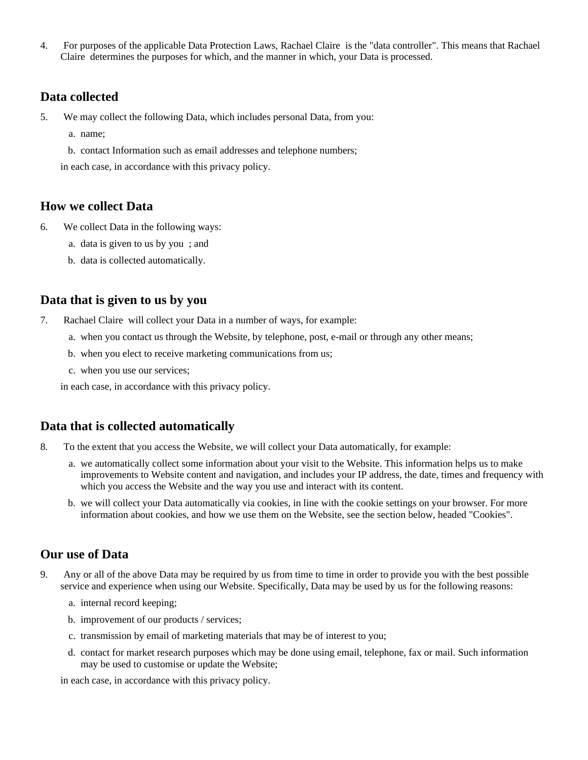4. For purposes of the applicable Data Protection Laws, Rachael Claire is the "data controller". This means that Rachael Claire determines the purposes for which, and the manner in which, your Data is processed.

#### **Data collected**

- 5. We may collect the following Data, which includes personal Data, from you:
	- a. name;
	- b. contact Information such as email addresses and telephone numbers;

in each case, in accordance with this privacy policy.

#### **How we collect Data**

- 6. We collect Data in the following ways:
	- a. data is given to us by you ; and
	- b. data is collected automatically.

#### **Data that is given to us by you**

- 7. Rachael Claire will collect your Data in a number of ways, for example:
	- a. when you contact us through the Website, by telephone, post, e-mail or through any other means;
	- b. when you elect to receive marketing communications from us;
	- c. when you use our services;

in each case, in accordance with this privacy policy.

#### **Data that is collected automatically**

- 8. To the extent that you access the Website, we will collect your Data automatically, for example:
	- a. we automatically collect some information about your visit to the Website. This information helps us to make improvements to Website content and navigation, and includes your IP address, the date, times and frequency with which you access the Website and the way you use and interact with its content.
	- b. we will collect your Data automatically via cookies, in line with the cookie settings on your browser. For more information about cookies, and how we use them on the Website, see the section below, headed "Cookies".

#### **Our use of Data**

- 9. Any or all of the above Data may be required by us from time to time in order to provide you with the best possible service and experience when using our Website. Specifically, Data may be used by us for the following reasons:
	- a. internal record keeping;
	- b. improvement of our products / services;
	- c. transmission by email of marketing materials that may be of interest to you;
	- d. contact for market research purposes which may be done using email, telephone, fax or mail. Such information may be used to customise or update the Website;

in each case, in accordance with this privacy policy.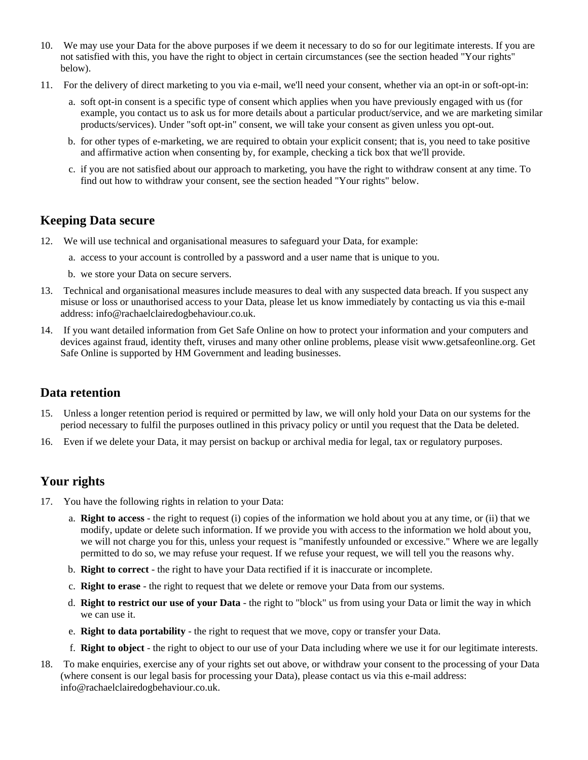- 10. We may use your Data for the above purposes if we deem it necessary to do so for our legitimate interests. If you are not satisfied with this, you have the right to object in certain circumstances (see the section headed "Your rights" below).
- 11. For the delivery of direct marketing to you via e-mail, we'll need your consent, whether via an opt-in or soft-opt-in:
	- a. soft opt-in consent is a specific type of consent which applies when you have previously engaged with us (for example, you contact us to ask us for more details about a particular product/service, and we are marketing similar products/services). Under "soft opt-in" consent, we will take your consent as given unless you opt-out.
	- b. for other types of e-marketing, we are required to obtain your explicit consent; that is, you need to take positive and affirmative action when consenting by, for example, checking a tick box that we'll provide.
	- c. if you are not satisfied about our approach to marketing, you have the right to withdraw consent at any time. To find out how to withdraw your consent, see the section headed "Your rights" below.

## **Keeping Data secure**

- 12. We will use technical and organisational measures to safeguard your Data, for example:
	- a. access to your account is controlled by a password and a user name that is unique to you.
	- b. we store your Data on secure servers.
- 13. Technical and organisational measures include measures to deal with any suspected data breach. If you suspect any misuse or loss or unauthorised access to your Data, please let us know immediately by contacting us via this e-mail address: info@rachaelclairedogbehaviour.co.uk.
- 14. If you want detailed information from Get Safe Online on how to protect your information and your computers and devices against fraud, identity theft, viruses and many other online problems, please visit www.getsafeonline.org. Get Safe Online is supported by HM Government and leading businesses.

#### **Data retention**

- 15. Unless a longer retention period is required or permitted by law, we will only hold your Data on our systems for the period necessary to fulfil the purposes outlined in this privacy policy or until you request that the Data be deleted.
- 16. Even if we delete your Data, it may persist on backup or archival media for legal, tax or regulatory purposes.

## **Your rights**

- 17. You have the following rights in relation to your Data:
	- a. **Right to access** the right to request (i) copies of the information we hold about you at any time, or (ii) that we modify, update or delete such information. If we provide you with access to the information we hold about you, we will not charge you for this, unless your request is "manifestly unfounded or excessive." Where we are legally permitted to do so, we may refuse your request. If we refuse your request, we will tell you the reasons why.
	- b. **Right to correct** the right to have your Data rectified if it is inaccurate or incomplete.
	- c. **Right to erase** the right to request that we delete or remove your Data from our systems.
	- d. **Right to restrict our use of your Data** the right to "block" us from using your Data or limit the way in which we can use it.
	- e. **Right to data portability** the right to request that we move, copy or transfer your Data.
	- f. **Right to object** the right to object to our use of your Data including where we use it for our legitimate interests.
- 18. To make enquiries, exercise any of your rights set out above, or withdraw your consent to the processing of your Data (where consent is our legal basis for processing your Data), please contact us via this e-mail address: info@rachaelclairedogbehaviour.co.uk.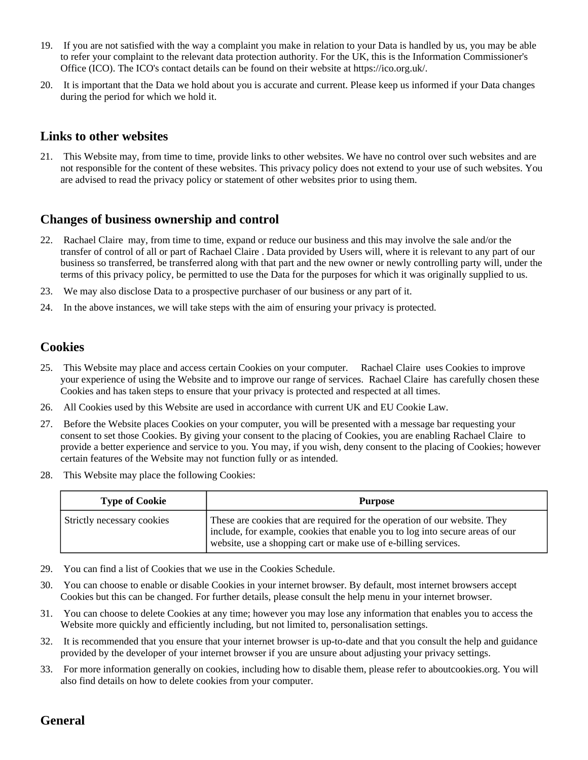- 19. If you are not satisfied with the way a complaint you make in relation to your Data is handled by us, you may be able to refer your complaint to the relevant data protection authority. For the UK, this is the Information Commissioner's Office (ICO). The ICO's contact details can be found on their website at https://ico.org.uk/.
- 20. It is important that the Data we hold about you is accurate and current. Please keep us informed if your Data changes during the period for which we hold it.

#### **Links to other websites**

21. This Website may, from time to time, provide links to other websites. We have no control over such websites and are not responsible for the content of these websites. This privacy policy does not extend to your use of such websites. You are advised to read the privacy policy or statement of other websites prior to using them.

#### **Changes of business ownership and control**

- 22. Rachael Claire may, from time to time, expand or reduce our business and this may involve the sale and/or the transfer of control of all or part of Rachael Claire . Data provided by Users will, where it is relevant to any part of our business so transferred, be transferred along with that part and the new owner or newly controlling party will, under the terms of this privacy policy, be permitted to use the Data for the purposes for which it was originally supplied to us.
- 23. We may also disclose Data to a prospective purchaser of our business or any part of it.
- 24. In the above instances, we will take steps with the aim of ensuring your privacy is protected.

## **Cookies**

- 25. This Website may place and access certain Cookies on your computer. Rachael Claire uses Cookies to improve your experience of using the Website and to improve our range of services. Rachael Claire has carefully chosen these Cookies and has taken steps to ensure that your privacy is protected and respected at all times.
- 26. All Cookies used by this Website are used in accordance with current UK and EU Cookie Law.
- 27. Before the Website places Cookies on your computer, you will be presented with a message bar requesting your consent to set those Cookies. By giving your consent to the placing of Cookies, you are enabling Rachael Claire to provide a better experience and service to you. You may, if you wish, deny consent to the placing of Cookies; however certain features of the Website may not function fully or as intended.
- 28. This Website may place the following Cookies:

| <b>Type of Cookie</b>      | <b>Purpose</b>                                                                                                                                                                                                                   |
|----------------------------|----------------------------------------------------------------------------------------------------------------------------------------------------------------------------------------------------------------------------------|
| Strictly necessary cookies | These are cookies that are required for the operation of our website. They<br>include, for example, cookies that enable you to log into secure areas of our<br>I website, use a shopping cart or make use of e-billing services. |

- 29. You can find a list of Cookies that we use in the Cookies Schedule.
- 30. You can choose to enable or disable Cookies in your internet browser. By default, most internet browsers accept Cookies but this can be changed. For further details, please consult the help menu in your internet browser.
- 31. You can choose to delete Cookies at any time; however you may lose any information that enables you to access the Website more quickly and efficiently including, but not limited to, personalisation settings.
- 32. It is recommended that you ensure that your internet browser is up-to-date and that you consult the help and guidance provided by the developer of your internet browser if you are unsure about adjusting your privacy settings.
- 33. For more information generally on cookies, including how to disable them, please refer to aboutcookies.org. You will also find details on how to delete cookies from your computer.

#### **General**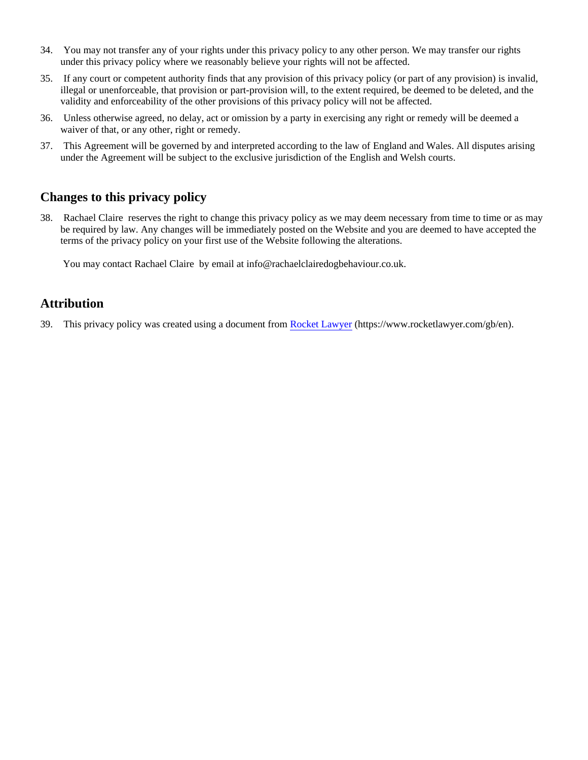- 34. You may not transfer any of your rights under this privacy policy to any other person. We may transfer our rights under this privacy policy where we reasonably believe your rights will not be affected.
- 35. If any court or competent authority finds that any provision of this privacy policy (or part of any provision) is invalid, illegal or unenforceable, that provision or part-provision will, to the extent required, be deemed to be deleted, and the validity and enforceability of the other provisions of this privacy policy will not be affected.
- 36. Unless otherwise agreed, no delay, act or omission by a party in exercising any right or remedy will be deemed a waiver of that, or any other, right or remedy.
- 37. This Agreement will be governed by and interpreted according to the law of England and Wales. All disputes arising under the Agreement will be subject to the exclusive jurisdiction of the English and Welsh courts.

## **Changes to this privacy policy**

38. Rachael Claire reserves the right to change this privacy policy as we may deem necessary from time to time or as may be required by law. Any changes will be immediately posted on the Website and you are deemed to have accepted the terms of the privacy policy on your first use of the Website following the alterations.

You may contact Rachael Claire by email at info@rachaelclairedogbehaviour.co.uk.

#### **Attribution**

39. This privacy policy was created using a document from [Rocket Lawyer](https://www.rocketlawyer.com/gb/en/) (https://www.rocketlawyer.com/gb/en).